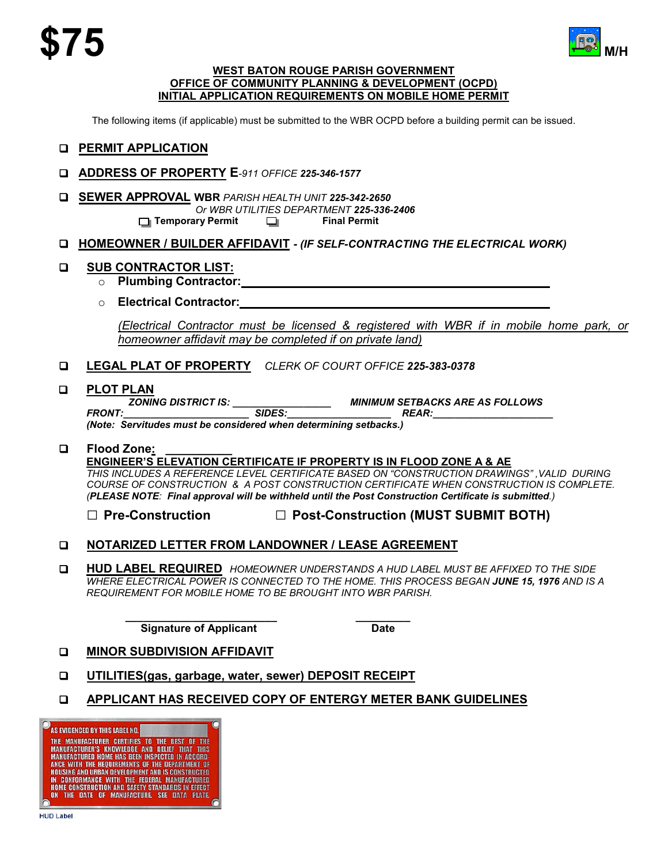

#### **WEST BATON ROUGE PARISH GOVERNMENT OFFICE OF COMMUNITY PLANNING & DEVELOPMENT (OCPD) INITIAL APPLICATION REQUIREMENTS ON MOBILE HOME PERMIT**

The following items (if applicable) must be submitted to the WBR OCPD before a building permit can be issued.

### **PERMIT APPLICATION**

- **ADDRESS OF PROPERTY E***-911 OFFICE 225-346-1577*
- **SEWER APPROVAL WBR** *PARISH HEALTH UNIT 225-342-2650 Or WBR UTILITIES DEPARTMENT 225-336-2406* **Temporary Permit**  $\Box$

#### **HOMEOWNER / BUILDER AFFIDAVIT** *- (IF SELF-CONTRACTING THE ELECTRICAL WORK)*

#### **SUB CONTRACTOR LIST:**

- o **Plumbing Contractor:**
- o **Electrical Contractor:**

*(Electrical Contractor must be licensed & registered with WBR if in mobile home park, or homeowner affidavit may be completed if on private land)*

**LEGAL PLAT OF PROPERTY** *CLERK OF COURT OFFICE 225-383-0378*

**PLOT PLAN**<br> **EXAMPLE SONING DISTRICT IS:** *ZONING DISTRICT IS: \_\_\_\_\_\_\_\_\_\_\_\_\_\_\_\_\_\_ MINIMUM SETBACKS ARE AS FOLLOWS FRONT:\_\_\_\_\_\_\_\_\_\_\_\_\_\_\_\_\_\_\_\_\_\_\_ SIDES:\_\_\_\_\_\_\_\_\_\_\_\_\_\_\_\_\_\_\_ REAR:\_\_\_\_\_\_\_\_\_\_\_\_\_\_\_\_\_\_\_\_\_\_ (Note: Servitudes must be considered when determining setbacks.)*

#### $\square$  Flood Zone:

#### **ENGINEER'S ELEVATION CERTIFICATE IF PROPERTY IS IN FLOOD ZONE A & AE**

*THIS INCLUDES A REFERENCE LEVEL CERTIFICATE BASED ON "CONSTRUCTION DRAWINGS" ,VALID DURING COURSE OF CONSTRUCTION & A POST CONSTRUCTION CERTIFICATE WHEN CONSTRUCTION IS COMPLETE. (PLEASE NOTE: Final approval will be withheld until the Post Construction Certificate is submitted.)*

**□ Pre-Construction □ Post-Construction (MUST SUBMIT BOTH)**

### **NOTARIZED LETTER FROM LANDOWNER / LEASE AGREEMENT**

 **HUD LABEL REQUIRED** *HOMEOWNER UNDERSTANDS A HUD LABEL MUST BE AFFIXED TO THE SIDE WHERE ELECTRICAL POWER IS CONNECTED TO THE HOME. THIS PROCESS BEGAN JUNE 15, 1976 AND IS A REQUIREMENT FOR MOBILE HOME TO BE BROUGHT INTO WBR PARISH.*

> **\_\_\_\_\_\_\_\_\_\_\_\_\_\_\_\_\_\_\_\_\_\_\_\_\_ \_\_\_\_\_\_\_\_\_ Signature of Applicant Contract Contract Contract Date**

### **D** MINOR SUBDIVISION AFFIDAVIT

- **UTILITIES(gas, garbage, water, sewer) DEPOSIT RECEIPT**
- **APPLICANT HAS RECEIVED COPY OF ENTERGY METER BANK GUIDELINES**

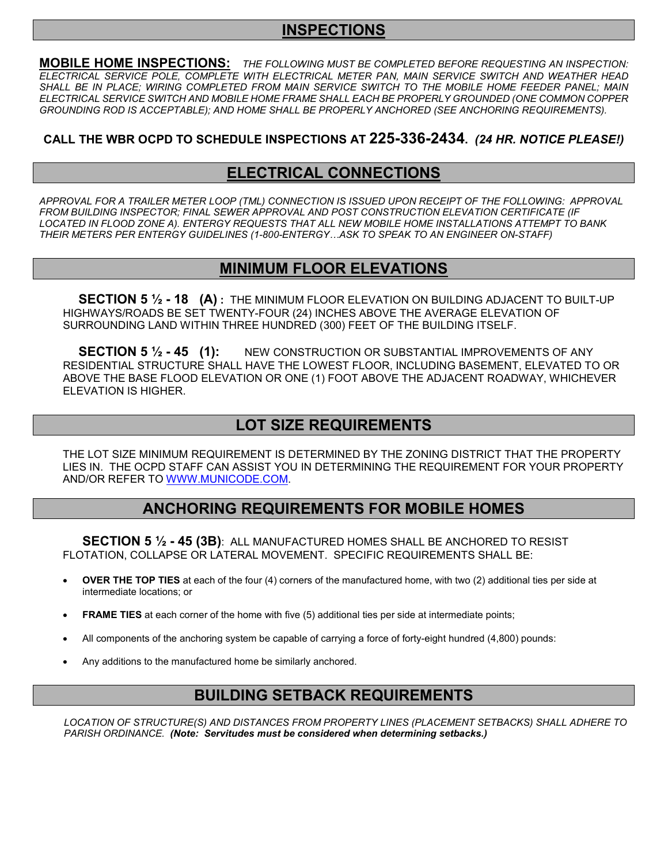# **INSPECTIONS**

**MOBILE HOME INSPECTIONS:** *THE FOLLOWING MUST BE COMPLETED BEFORE REQUESTING AN INSPECTION: ELECTRICAL SERVICE POLE, COMPLETE WITH ELECTRICAL METER PAN, MAIN SERVICE SWITCH AND WEATHER HEAD*  SHALL BE IN PLACE; WIRING COMPLETED FROM MAIN SERVICE SWITCH TO THE MOBILE HOME FEEDER PANEL; MAIN *ELECTRICAL SERVICE SWITCH AND MOBILE HOME FRAME SHALL EACH BE PROPERLY GROUNDED (ONE COMMON COPPER GROUNDING ROD IS ACCEPTABLE); AND HOME SHALL BE PROPERLY ANCHORED (SEE ANCHORING REQUIREMENTS).*

### **CALL THE WBR OCPD TO SCHEDULE INSPECTIONS AT 225-336-2434.** *(24 HR. NOTICE PLEASE!)*

# **ELECTRICAL CONNECTIONS**

*APPROVAL FOR A TRAILER METER LOOP (TML) CONNECTION IS ISSUED UPON RECEIPT OF THE FOLLOWING: APPROVAL FROM BUILDING INSPECTOR; FINAL SEWER APPROVAL AND POST CONSTRUCTION ELEVATION CERTIFICATE (IF LOCATED IN FLOOD ZONE A). ENTERGY REQUESTS THAT ALL NEW MOBILE HOME INSTALLATIONS ATTEMPT TO BANK THEIR METERS PER ENTERGY GUIDELINES (1-800-ENTERGY…ASK TO SPEAK TO AN ENGINEER ON-STAFF)*

# **MINIMUM FLOOR ELEVATIONS**

**SECTION 5 ½ - 18 (A) :** THE MINIMUM FLOOR ELEVATION ON BUILDING ADJACENT TO BUILT-UP HIGHWAYS/ROADS BE SET TWENTY-FOUR (24) INCHES ABOVE THE AVERAGE ELEVATION OF SURROUNDING LAND WITHIN THREE HUNDRED (300) FEET OF THE BUILDING ITSELF.

**SECTION 5 ½ - 45 (1):** NEW CONSTRUCTION OR SUBSTANTIAL IMPROVEMENTS OF ANY RESIDENTIAL STRUCTURE SHALL HAVE THE LOWEST FLOOR, INCLUDING BASEMENT, ELEVATED TO OR ABOVE THE BASE FLOOD ELEVATION OR ONE (1) FOOT ABOVE THE ADJACENT ROADWAY, WHICHEVER ELEVATION IS HIGHER.

# **LOT SIZE REQUIREMENTS**

THE LOT SIZE MINIMUM REQUIREMENT IS DETERMINED BY THE ZONING DISTRICT THAT THE PROPERTY LIES IN. THE OCPD STAFF CAN ASSIST YOU IN DETERMINING THE REQUIREMENT FOR YOUR PROPERTY AND/OR REFER TO [WWW.MUNICODE.COM.](http://www.municode.com/)

# **ANCHORING REQUIREMENTS FOR MOBILE HOMES**

**SECTION 5 ½ - 45 (3B)**: ALL MANUFACTURED HOMES SHALL BE ANCHORED TO RESIST FLOTATION, COLLAPSE OR LATERAL MOVEMENT. SPECIFIC REQUIREMENTS SHALL BE:

- **OVER THE TOP TIES** at each of the four (4) corners of the manufactured home, with two (2) additional ties per side at intermediate locations; or
- **FRAME TIES** at each corner of the home with five (5) additional ties per side at intermediate points;
- All components of the anchoring system be capable of carrying a force of forty-eight hundred (4,800) pounds:
- Any additions to the manufactured home be similarly anchored.

# **BUILDING SETBACK REQUIREMENTS**

*LOCATION OF STRUCTURE(S) AND DISTANCES FROM PROPERTY LINES (PLACEMENT SETBACKS) SHALL ADHERE TO PARISH ORDINANCE. (Note: Servitudes must be considered when determining setbacks.)*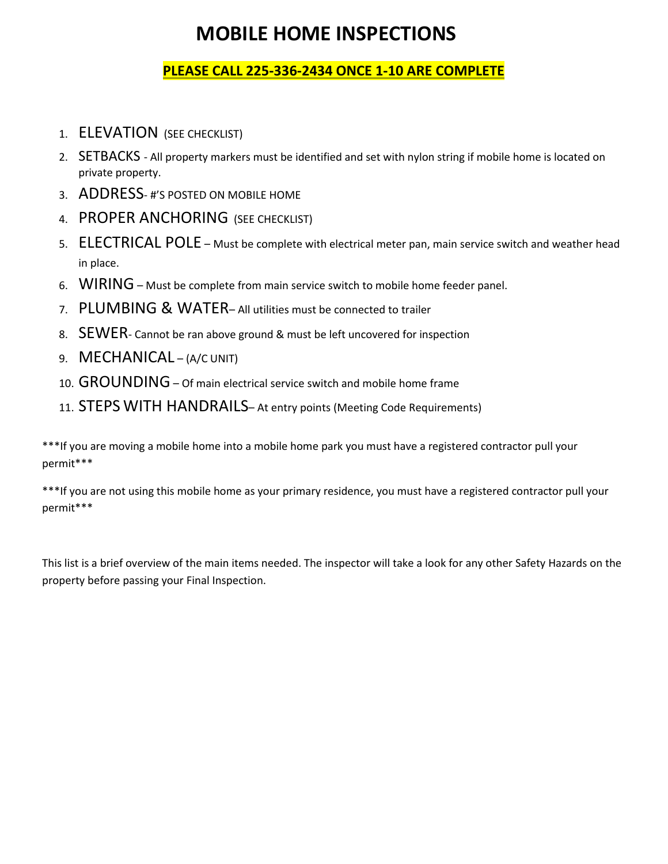# **MOBILE HOME INSPECTIONS**

# **PLEASE CALL 225-336-2434 ONCE 1-10 ARE COMPLETE**

- 1. ELEVATION (SEE CHECKLIST)
- 2. SETBACKS All property markers must be identified and set with nylon string if mobile home is located on private property.
- 3. ADDRESS- #'S POSTED ON MOBILE HOME
- 4. PROPER ANCHORING (SEE CHECKLIST)
- 5. ELECTRICAL POLE Must be complete with electrical meter pan, main service switch and weather head in place.
- 6. WIRING Must be complete from main service switch to mobile home feeder panel.
- 7. PLUMBING & WATER– All utilities must be connected to trailer
- 8. SEWER- Cannot be ran above ground & must be left uncovered for inspection
- 9. MECHANICAL (A/C UNIT)
- 10. GROUNDING– Of main electrical service switch and mobile home frame
- 11. STEPS WITH HANDRAILS– At entry points (Meeting Code Requirements)

\*\*\*If you are moving a mobile home into a mobile home park you must have a registered contractor pull your permit\*\*\*

\*\*\*If you are not using this mobile home as your primary residence, you must have a registered contractor pull your permit\*\*\*

This list is a brief overview of the main items needed. The inspector will take a look for any other Safety Hazards on the property before passing your Final Inspection.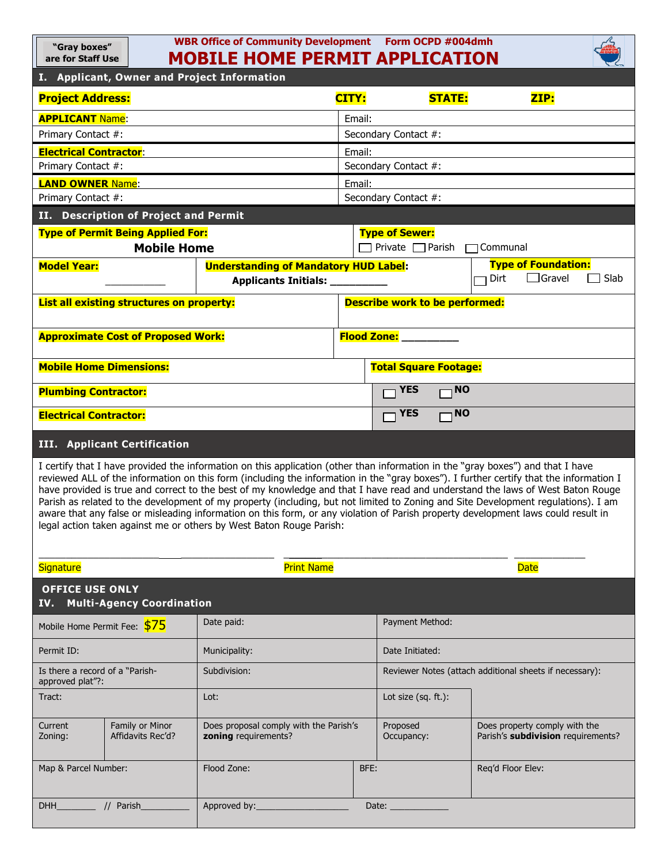| WBR Office of Community Development Form OCPD #004dmh<br>"Gray boxes"<br><b>MOBILE HOME PERMIT APPLICATION</b><br>are for Staff Use |                                      |                                                                                                                                                                                                        |                                       |                              |                                                                                                                                                                                                                                                                                                                                                                                                                                                                                                                                                    |  |  |
|-------------------------------------------------------------------------------------------------------------------------------------|--------------------------------------|--------------------------------------------------------------------------------------------------------------------------------------------------------------------------------------------------------|---------------------------------------|------------------------------|----------------------------------------------------------------------------------------------------------------------------------------------------------------------------------------------------------------------------------------------------------------------------------------------------------------------------------------------------------------------------------------------------------------------------------------------------------------------------------------------------------------------------------------------------|--|--|
| I. Applicant, Owner and Project Information                                                                                         |                                      |                                                                                                                                                                                                        |                                       |                              |                                                                                                                                                                                                                                                                                                                                                                                                                                                                                                                                                    |  |  |
| <b>Project Address:</b>                                                                                                             |                                      |                                                                                                                                                                                                        | CITY:                                 | <b>STATE:</b>                | ZIP:                                                                                                                                                                                                                                                                                                                                                                                                                                                                                                                                               |  |  |
| <b>APPLICANT Name:</b>                                                                                                              |                                      |                                                                                                                                                                                                        | Email:                                |                              |                                                                                                                                                                                                                                                                                                                                                                                                                                                                                                                                                    |  |  |
| Primary Contact #:                                                                                                                  |                                      |                                                                                                                                                                                                        | Secondary Contact #:                  |                              |                                                                                                                                                                                                                                                                                                                                                                                                                                                                                                                                                    |  |  |
| <b>Electrical Contractor:</b>                                                                                                       |                                      |                                                                                                                                                                                                        | Email:                                |                              |                                                                                                                                                                                                                                                                                                                                                                                                                                                                                                                                                    |  |  |
| Primary Contact #:                                                                                                                  |                                      |                                                                                                                                                                                                        | Secondary Contact #:                  |                              |                                                                                                                                                                                                                                                                                                                                                                                                                                                                                                                                                    |  |  |
| <b>LAND OWNER Name:</b>                                                                                                             |                                      |                                                                                                                                                                                                        | Email:                                |                              |                                                                                                                                                                                                                                                                                                                                                                                                                                                                                                                                                    |  |  |
| Secondary Contact #:<br>Primary Contact #:                                                                                          |                                      |                                                                                                                                                                                                        |                                       |                              |                                                                                                                                                                                                                                                                                                                                                                                                                                                                                                                                                    |  |  |
| II. Description of Project and Permit<br><b>Type of Permit Being Applied For:</b>                                                   |                                      |                                                                                                                                                                                                        | <b>Type of Sewer:</b>                 |                              |                                                                                                                                                                                                                                                                                                                                                                                                                                                                                                                                                    |  |  |
| <b>Mobile Home</b>                                                                                                                  |                                      |                                                                                                                                                                                                        | Private □ Parish<br>Communal          |                              |                                                                                                                                                                                                                                                                                                                                                                                                                                                                                                                                                    |  |  |
| <b>Model Year:</b>                                                                                                                  |                                      | <b>Understanding of Mandatory HUD Label:</b>                                                                                                                                                           |                                       |                              | <b>Type of Foundation:</b><br>$\Box$ Gravel<br>Dirt<br>$\sqsupset$ Slab                                                                                                                                                                                                                                                                                                                                                                                                                                                                            |  |  |
|                                                                                                                                     |                                      | Applicants Initials: _________                                                                                                                                                                         |                                       |                              |                                                                                                                                                                                                                                                                                                                                                                                                                                                                                                                                                    |  |  |
| List all existing structures on property:                                                                                           |                                      |                                                                                                                                                                                                        | <b>Describe work to be performed:</b> |                              |                                                                                                                                                                                                                                                                                                                                                                                                                                                                                                                                                    |  |  |
| <b>Approximate Cost of Proposed Work:</b>                                                                                           |                                      |                                                                                                                                                                                                        | <b>Flood Zone:</b>                    |                              |                                                                                                                                                                                                                                                                                                                                                                                                                                                                                                                                                    |  |  |
| <b>Mobile Home Dimensions:</b>                                                                                                      |                                      |                                                                                                                                                                                                        |                                       | <b>Total Square Footage:</b> |                                                                                                                                                                                                                                                                                                                                                                                                                                                                                                                                                    |  |  |
| <b>Plumbing Contractor:</b>                                                                                                         |                                      |                                                                                                                                                                                                        |                                       | <b>YES</b><br>$\overline{N}$ |                                                                                                                                                                                                                                                                                                                                                                                                                                                                                                                                                    |  |  |
| <b>Electrical Contractor:</b>                                                                                                       |                                      |                                                                                                                                                                                                        |                                       | <b>NO</b><br><b>YES</b>      |                                                                                                                                                                                                                                                                                                                                                                                                                                                                                                                                                    |  |  |
| <b>III.</b> Applicant Certification                                                                                                 |                                      |                                                                                                                                                                                                        |                                       |                              |                                                                                                                                                                                                                                                                                                                                                                                                                                                                                                                                                    |  |  |
|                                                                                                                                     |                                      |                                                                                                                                                                                                        |                                       |                              |                                                                                                                                                                                                                                                                                                                                                                                                                                                                                                                                                    |  |  |
|                                                                                                                                     |                                      | I certify that I have provided the information on this application (other than information in the "gray boxes") and that I have<br>legal action taken against me or others by West Baton Rouge Parish: |                                       |                              | reviewed ALL of the information on this form (including the information in the "gray boxes"). I further certify that the information I<br>have provided is true and correct to the best of my knowledge and that I have read and understand the laws of West Baton Rouge<br>Parish as related to the development of my property (including, but not limited to Zoning and Site Development regulations). I am<br>aware that any false or misleading information on this form, or any violation of Parish property development laws could result in |  |  |
| <b>Signature</b>                                                                                                                    |                                      | <b>Print Name</b>                                                                                                                                                                                      |                                       |                              | <b>Date</b>                                                                                                                                                                                                                                                                                                                                                                                                                                                                                                                                        |  |  |
| <b>OFFICE USE ONLY</b><br>IV.                                                                                                       | <b>Multi-Agency Coordination</b>     |                                                                                                                                                                                                        |                                       |                              |                                                                                                                                                                                                                                                                                                                                                                                                                                                                                                                                                    |  |  |
| Mobile Home Permit Fee: \$75                                                                                                        |                                      | Date paid:                                                                                                                                                                                             |                                       | Payment Method:              |                                                                                                                                                                                                                                                                                                                                                                                                                                                                                                                                                    |  |  |
| Permit ID:                                                                                                                          |                                      | Municipality:                                                                                                                                                                                          |                                       | Date Initiated:              |                                                                                                                                                                                                                                                                                                                                                                                                                                                                                                                                                    |  |  |
| Is there a record of a "Parish-<br>approved plat"?:                                                                                 |                                      | Subdivision:                                                                                                                                                                                           |                                       |                              | Reviewer Notes (attach additional sheets if necessary):                                                                                                                                                                                                                                                                                                                                                                                                                                                                                            |  |  |
| Tract:                                                                                                                              |                                      | Lot:                                                                                                                                                                                                   |                                       | Lot size (sq. ft.):          |                                                                                                                                                                                                                                                                                                                                                                                                                                                                                                                                                    |  |  |
| Current<br>Zoning:                                                                                                                  | Family or Minor<br>Affidavits Rec'd? | Does proposal comply with the Parish's<br>zoning requirements?                                                                                                                                         |                                       | Proposed<br>Occupancy:       | Does property comply with the<br>Parish's subdivision requirements?                                                                                                                                                                                                                                                                                                                                                                                                                                                                                |  |  |
| Map & Parcel Number:                                                                                                                |                                      | Flood Zone:                                                                                                                                                                                            | BFE:                                  |                              | Req'd Floor Elev:                                                                                                                                                                                                                                                                                                                                                                                                                                                                                                                                  |  |  |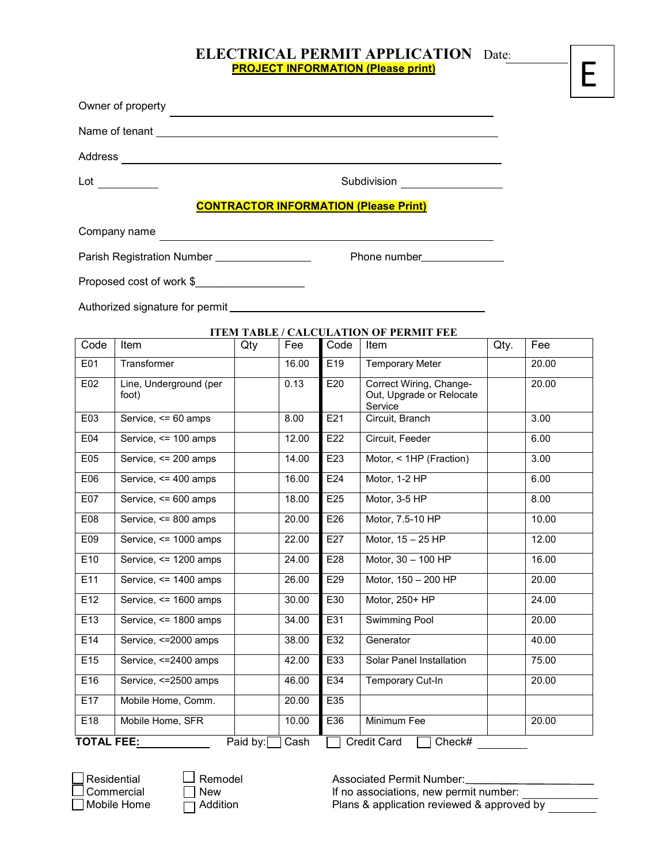### **ELECTRICAL PERMIT APPLICATION** Date: **PROJECT INFORMATION (Please print)**

| Owner of property                             |                                                             |
|-----------------------------------------------|-------------------------------------------------------------|
|                                               |                                                             |
|                                               |                                                             |
|                                               | Subdivision <u>______________</u>                           |
|                                               | <b>CONTRACTOR INFORMATION (Please Print)</b>                |
| Company name                                  | <u> 1989 - Johann Stoff, amerikansk politiker (d. 1989)</u> |
| Parish Registration Number __________________ |                                                             |
| Proposed cost of work \$                      |                                                             |
|                                               |                                                             |
|                                               | <b>ITEM TABLE / CALCULATION OF PERMIT FEE</b>               |

Code Item Qty Fee Code Item Qty. Fee E01 Transformer | 16.00 E19 Temporary Meter | 20.00 E02 Line, Underground (per foot) 0.13 E20 Correct Wiring, Change-Out, Upgrade or Relocate Service 20.00 E03 Service, <= 60 amps | 8.00 E21 Circuit, Branch | 3.00 E04 Service, <= 100 amps | 12.00 E22 Circuit, Feeder | 6.00 E05 Service, <= 200 amps | 14.00 E23 | Motor, < 1HP (Fraction) | 3.00 E06 Service, <= 400 amps | 16.00 E24 | Motor, 1-2 HP | 6.00 E07 Service, <= 600 amps | 18.00 E25 | Motor, 3-5 HP | 8.00 E08 Service, <= 800 amps | 20.00 E26 Motor, 7.5-10 HP | 10.00 E09 Service, <= 1000 amps 22.00 E27 Motor, 15 – 25 HP 12.00 E10 Service, <= 1200 amps 24.00 E28 Motor, 30 – 100 HP 16.00 E11 Service, <= 1400 amps 26.00 E29 Motor, 150 – 200 HP 20.00 E12 Service, <= 1600 amps 30.00 E30 Motor, 250+ HP 24.00 E13 Service, <= 1800 amps 34.00 E31 Swimming Pool 20.00 E14 Service, <=2000 amps 38.00 E32 Generator 40.00 E15 Service, <=2400 amps 42.00 E33 Solar Panel Installation 75.00 E16 Service, <=2500 amps 46.00 E34 Temporary Cut-In 20.00 E17 Mobile Home, Comm. 20.00 E35 E18 Mobile Home, SFR 10.00 E36 Minimum Fee 20.00 **TOTAL FEE:** Paid by: Cash Credit Card Check#

Residential Remodel Associated Permit Number: If no associations, new permit number: Mobile Home  $\Box$  Addition Plans & application reviewed & approved by